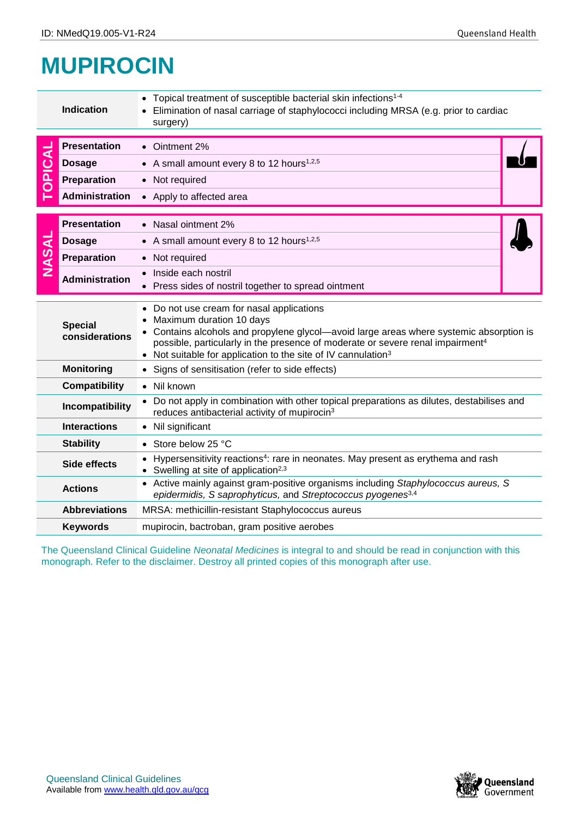## **MUPIROCIN**

|                         | <b>Indication</b>                                                                                                                                                  | • Topical treatment of susceptible bacterial skin infections <sup>1-4</sup><br>Elimination of nasal carriage of staphylococci including MRSA (e.g. prior to cardiac<br>surgery)                                                                                                                                                             |  |  |  |
|-------------------------|--------------------------------------------------------------------------------------------------------------------------------------------------------------------|---------------------------------------------------------------------------------------------------------------------------------------------------------------------------------------------------------------------------------------------------------------------------------------------------------------------------------------------|--|--|--|
| PICAL<br>$\overline{O}$ | <b>Presentation</b>                                                                                                                                                | • Ointment 2%                                                                                                                                                                                                                                                                                                                               |  |  |  |
|                         | <b>Dosage</b>                                                                                                                                                      | • A small amount every 8 to 12 hours <sup>1,2,5</sup>                                                                                                                                                                                                                                                                                       |  |  |  |
|                         | Preparation                                                                                                                                                        | • Not required                                                                                                                                                                                                                                                                                                                              |  |  |  |
|                         | <b>Administration</b>                                                                                                                                              | • Apply to affected area                                                                                                                                                                                                                                                                                                                    |  |  |  |
| <b>NASAL</b>            | <b>Presentation</b>                                                                                                                                                | • Nasal ointment 2%                                                                                                                                                                                                                                                                                                                         |  |  |  |
|                         | <b>Dosage</b>                                                                                                                                                      | • A small amount every 8 to 12 hours <sup>1,2,5</sup>                                                                                                                                                                                                                                                                                       |  |  |  |
|                         | Preparation                                                                                                                                                        | • Not required                                                                                                                                                                                                                                                                                                                              |  |  |  |
|                         | <b>Administration</b>                                                                                                                                              | Inside each nostril<br>Press sides of nostril together to spread ointment                                                                                                                                                                                                                                                                   |  |  |  |
|                         | <b>Special</b><br>considerations                                                                                                                                   | • Do not use cream for nasal applications<br>Maximum duration 10 days<br>• Contains alcohols and propylene glycol—avoid large areas where systemic absorption is<br>possible, particularly in the presence of moderate or severe renal impairment <sup>4</sup><br>• Not suitable for application to the site of IV cannulation <sup>3</sup> |  |  |  |
|                         | <b>Monitoring</b>                                                                                                                                                  | • Signs of sensitisation (refer to side effects)                                                                                                                                                                                                                                                                                            |  |  |  |
|                         | <b>Compatibility</b>                                                                                                                                               | • Nil known                                                                                                                                                                                                                                                                                                                                 |  |  |  |
|                         | Incompatibility                                                                                                                                                    | • Do not apply in combination with other topical preparations as dilutes, destabilises and<br>reduces antibacterial activity of mupirocin <sup>3</sup>                                                                                                                                                                                      |  |  |  |
|                         | <b>Interactions</b><br>• Nil significant                                                                                                                           |                                                                                                                                                                                                                                                                                                                                             |  |  |  |
|                         | <b>Stability</b>                                                                                                                                                   | • Store below 25 °C                                                                                                                                                                                                                                                                                                                         |  |  |  |
|                         | • Hypersensitivity reactions <sup>4</sup> : rare in neonates. May present as erythema and rash<br>Side effects<br>• Swelling at site of application <sup>2,3</sup> |                                                                                                                                                                                                                                                                                                                                             |  |  |  |
|                         | <b>Actions</b>                                                                                                                                                     | • Active mainly against gram-positive organisms including Staphylococcus aureus, S<br>epidermidis, S saprophyticus, and Streptococcus pyogenes <sup>3,4</sup>                                                                                                                                                                               |  |  |  |
|                         | <b>Abbreviations</b>                                                                                                                                               | MRSA: methicillin-resistant Staphylococcus aureus                                                                                                                                                                                                                                                                                           |  |  |  |
|                         | <b>Keywords</b>                                                                                                                                                    | mupirocin, bactroban, gram positive aerobes                                                                                                                                                                                                                                                                                                 |  |  |  |
|                         |                                                                                                                                                                    | The Queensland Clinical Guideline Neonatal Medicines is integral to and should be read in conjunction with this<br>monograph. Refer to the disclaimer. Destroy all printed copies of this monograph after use.                                                                                                                              |  |  |  |